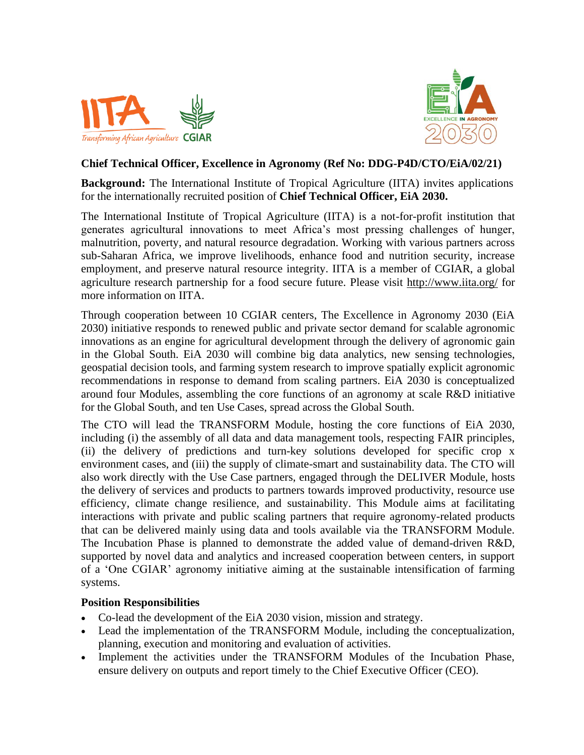



## **Chief Technical Officer, Excellence in Agronomy (Ref No: DDG-P4D/CTO/EiA/02/21)**

**Background:** The International Institute of Tropical Agriculture (IITA) invites applications for the internationally recruited position of **Chief Technical Officer, EiA 2030.**

The International Institute of Tropical Agriculture (IITA) is a not-for-profit institution that generates agricultural innovations to meet Africa's most pressing challenges of hunger, malnutrition, poverty, and natural resource degradation. Working with various partners across sub-Saharan Africa, we improve livelihoods, enhance food and nutrition security, increase employment, and preserve natural resource integrity. IITA is a member of CGIAR, a global agriculture research partnership for a food secure future. Please visit<http://www.iita.org/> for more information on IITA.

Through cooperation between 10 CGIAR centers, The Excellence in Agronomy 2030 (EiA 2030) initiative responds to renewed public and private sector demand for scalable agronomic innovations as an engine for agricultural development through the delivery of agronomic gain in the Global South. EiA 2030 will combine big data analytics, new sensing technologies, geospatial decision tools, and farming system research to improve spatially explicit agronomic recommendations in response to demand from scaling partners. EiA 2030 is conceptualized around four Modules, assembling the core functions of an agronomy at scale R&D initiative for the Global South, and ten Use Cases, spread across the Global South.

The CTO will lead the TRANSFORM Module, hosting the core functions of EiA 2030, including (i) the assembly of all data and data management tools, respecting FAIR principles, (ii) the delivery of predictions and turn-key solutions developed for specific crop x environment cases, and (iii) the supply of climate-smart and sustainability data. The CTO will also work directly with the Use Case partners, engaged through the DELIVER Module, hosts the delivery of services and products to partners towards improved productivity, resource use efficiency, climate change resilience, and sustainability. This Module aims at facilitating interactions with private and public scaling partners that require agronomy-related products that can be delivered mainly using data and tools available via the TRANSFORM Module. The Incubation Phase is planned to demonstrate the added value of demand-driven R&D, supported by novel data and analytics and increased cooperation between centers, in support of a 'One CGIAR' agronomy initiative aiming at the sustainable intensification of farming systems.

## **Position Responsibilities**

- Co-lead the development of the EiA 2030 vision, mission and strategy.
- Lead the implementation of the TRANSFORM Module, including the conceptualization, planning, execution and monitoring and evaluation of activities.
- Implement the activities under the TRANSFORM Modules of the Incubation Phase, ensure delivery on outputs and report timely to the Chief Executive Officer (CEO).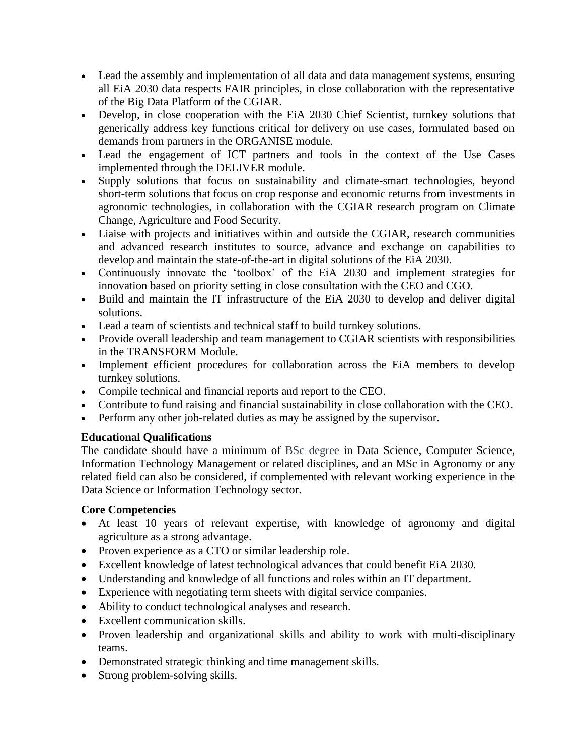- Lead the assembly and implementation of all data and data management systems, ensuring all EiA 2030 data respects FAIR principles, in close collaboration with the representative of the Big Data Platform of the CGIAR.
- Develop, in close cooperation with the EiA 2030 Chief Scientist, turnkey solutions that generically address key functions critical for delivery on use cases, formulated based on demands from partners in the ORGANISE module.
- Lead the engagement of ICT partners and tools in the context of the Use Cases implemented through the DELIVER module.
- Supply solutions that focus on sustainability and climate-smart technologies, beyond short-term solutions that focus on crop response and economic returns from investments in agronomic technologies, in collaboration with the CGIAR research program on Climate Change, Agriculture and Food Security.
- Liaise with projects and initiatives within and outside the CGIAR, research communities and advanced research institutes to source, advance and exchange on capabilities to develop and maintain the state-of-the-art in digital solutions of the EiA 2030.
- Continuously innovate the 'toolbox' of the EiA 2030 and implement strategies for innovation based on priority setting in close consultation with the CEO and CGO.
- Build and maintain the IT infrastructure of the EiA 2030 to develop and deliver digital solutions.
- Lead a team of scientists and technical staff to build turnkey solutions.
- Provide overall leadership and team management to CGIAR scientists with responsibilities in the TRANSFORM Module.
- Implement efficient procedures for collaboration across the EiA members to develop turnkey solutions.
- Compile technical and financial reports and report to the CEO.
- Contribute to fund raising and financial sustainability in close collaboration with the CEO.
- Perform any other job-related duties as may be assigned by the supervisor.

## **Educational Qualifications**

The candidate should have a minimum of BSc degree in Data Science, Computer Science, Information Technology Management or related disciplines, and an MSc in Agronomy or any related field can also be considered, if complemented with relevant working experience in the Data Science or Information Technology sector.

## **Core Competencies**

- At least 10 years of relevant expertise, with knowledge of agronomy and digital agriculture as a strong advantage.
- Proven experience as a CTO or similar leadership role.
- Excellent knowledge of latest technological advances that could benefit EiA 2030.
- Understanding and knowledge of all functions and roles within an IT department.
- Experience with negotiating term sheets with digital service companies.
- Ability to conduct technological analyses and research.
- Excellent communication skills.
- Proven leadership and organizational skills and ability to work with multi-disciplinary teams.
- Demonstrated strategic thinking and time management skills.
- Strong problem-solving skills.